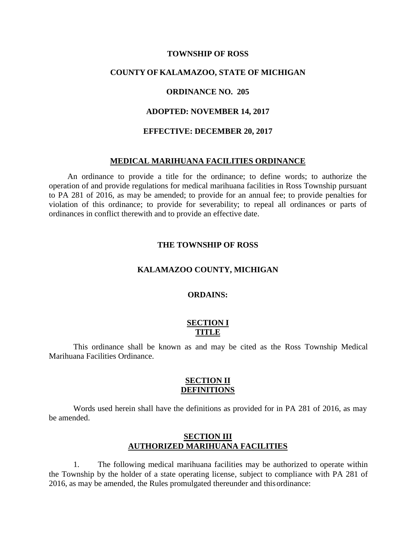#### **TOWNSHIP OF ROSS**

### **COUNTY OF KALAMAZOO, STATE OF MICHIGAN**

### **ORDINANCE NO. 205**

### **ADOPTED: NOVEMBER 14, 2017**

#### **EFFECTIVE: DECEMBER 20, 2017**

#### **MEDICAL MARIHUANA FACILITIES ORDINANCE**

An ordinance to provide a title for the ordinance; to define words; to authorize the operation of and provide regulations for medical marihuana facilities in Ross Township pursuant to PA 281 of 2016, as may be amended; to provide for an annual fee; to provide penalties for violation of this ordinance; to provide for severability; to repeal all ordinances or parts of ordinances in conflict therewith and to provide an effective date.

#### **THE TOWNSHIP OF ROSS**

#### **KALAMAZOO COUNTY, MICHIGAN**

### **ORDAINS:**

### **SECTION I TITLE**

This ordinance shall be known as and may be cited as the Ross Township Medical Marihuana Facilities Ordinance.

### **SECTION II DEFINITIONS**

Words used herein shall have the definitions as provided for in PA 281 of 2016, as may be amended.

# **SECTION III AUTHORIZED MARIHUANA FACILITIES**

1. The following medical marihuana facilities may be authorized to operate within the Township by the holder of a state operating license, subject to compliance with PA 281 of 2016, as may be amended, the Rules promulgated thereunder and thisordinance: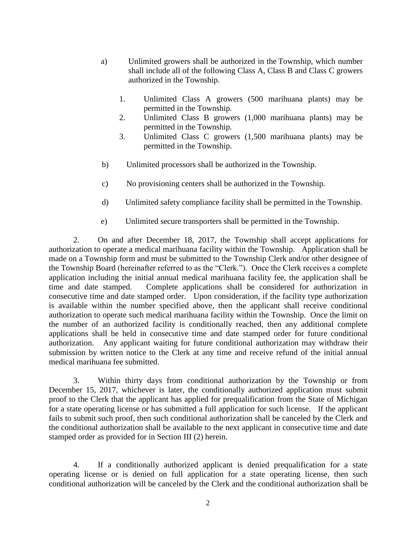- a) Unlimited growers shall be authorized in the Township, which number shall include all of the following Class A, Class B and Class C growers authorized in the Township.
	- 1. Unlimited Class A growers (500 marihuana plants) may be permitted in the Township.
	- 2. Unlimited Class B growers (1,000 marihuana plants) may be permitted in the Township.
	- 3. Unlimited Class C growers (1,500 marihuana plants) may be permitted in the Township.
- b) Unlimited processors shall be authorized in the Township.
- c) No provisioning centers shall be authorized in the Township.
- d) Unlimited safety compliance facility shall be permitted in the Township.
- e) Unlimited secure transporters shall be permitted in the Township.

2. On and after December 18, 2017, the Township shall accept applications for authorization to operate a medical marihuana facility within the Township. Application shall be made on a Township form and must be submitted to the Township Clerk and/or other designee of the Township Board (hereinafter referred to as the "Clerk."). Once the Clerk receives a complete application including the initial annual medical marihuana facility fee, the application shall be time and date stamped. Complete applications shall be considered for authorization in consecutive time and date stamped order. Upon consideration, if the facility type authorization is available within the number specified above, then the applicant shall receive conditional authorization to operate such medical marihuana facility within the Township. Once the limit on the number of an authorized facility is conditionally reached, then any additional complete applications shall be held in consecutive time and date stamped order for future conditional authorization. Any applicant waiting for future conditional authorization may withdraw their submission by written notice to the Clerk at any time and receive refund of the initial annual medical marihuana fee submitted.

3. Within thirty days from conditional authorization by the Township or from December 15, 2017, whichever is later, the conditionally authorized application must submit proof to the Clerk that the applicant has applied for prequalification from the State of Michigan for a state operating license or has submitted a full application for such license. If the applicant fails to submit such proof, then such conditional authorization shall be canceled by the Clerk and the conditional authorization shall be available to the next applicant in consecutive time and date stamped order as provided for in Section III (2) herein.

4. If a conditionally authorized applicant is denied prequalification for a state operating license or is denied on full application for a state operating license, then such conditional authorization will be canceled by the Clerk and the conditional authorization shall be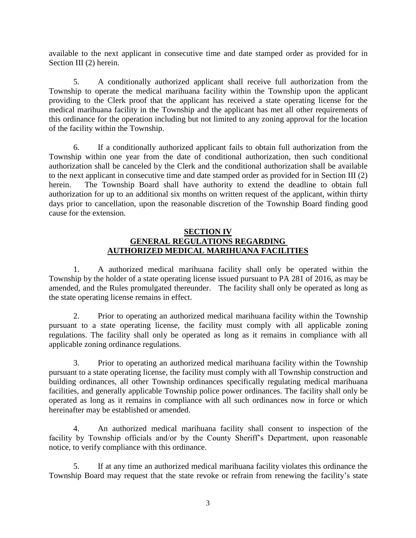available to the next applicant in consecutive time and date stamped order as provided for in Section III (2) herein.

5. A conditionally authorized applicant shall receive full authorization from the Township to operate the medical marihuana facility within the Township upon the applicant providing to the Clerk proof that the applicant has received a state operating license for the medical marihuana facility in the Township and the applicant has met all other requirements of this ordinance for the operation including but not limited to any zoning approval for the location of the facility within the Township.

6. If a conditionally authorized applicant fails to obtain full authorization from the Township within one year from the date of conditional authorization, then such conditional authorization shall be canceled by the Clerk and the conditional authorization shall be available to the next applicant in consecutive time and date stamped order as provided for in Section III (2) herein. The Township Board shall have authority to extend the deadline to obtain full authorization for up to an additional six months on written request of the applicant, within thirty days prior to cancellation, upon the reasonable discretion of the Township Board finding good cause for the extension.

# **SECTION IV GENERAL REGULATIONS REGARDING AUTHORIZED MEDICAL MARIHUANA FACILITIES**

1. A authorized medical marihuana facility shall only be operated within the Township by the holder of a state operating license issued pursuant to PA 281 of 2016, as may be amended, and the Rules promulgated thereunder. The facility shall only be operated as long as the state operating license remains in effect.

2. Prior to operating an authorized medical marihuana facility within the Township pursuant to a state operating license, the facility must comply with all applicable zoning regulations. The facility shall only be operated as long as it remains in compliance with all applicable zoning ordinance regulations.

3. Prior to operating an authorized medical marihuana facility within the Township pursuant to a state operating license, the facility must comply with all Township construction and building ordinances, all other Township ordinances specifically regulating medical marihuana facilities, and generally applicable Township police power ordinances. The facility shall only be operated as long as it remains in compliance with all such ordinances now in force or which hereinafter may be established or amended.

4. An authorized medical marihuana facility shall consent to inspection of the facility by Township officials and/or by the County Sheriff's Department, upon reasonable notice, to verify compliance with this ordinance.

5. If at any time an authorized medical marihuana facility violates this ordinance the Township Board may request that the state revoke or refrain from renewing the facility's state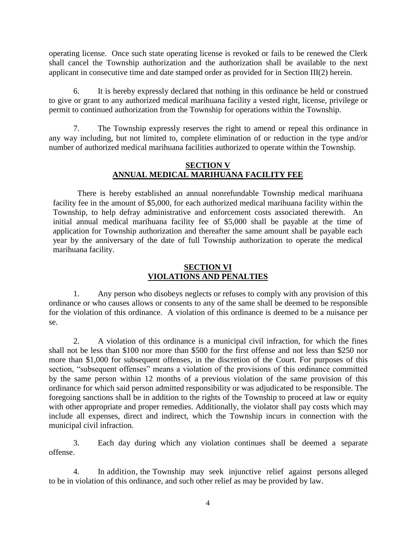operating license. Once such state operating license is revoked or fails to be renewed the Clerk shall cancel the Township authorization and the authorization shall be available to the next applicant in consecutive time and date stamped order as provided for in Section III(2) herein.

6. It is hereby expressly declared that nothing in this ordinance be held or construed to give or grant to any authorized medical marihuana facility a vested right, license, privilege or permit to continued authorization from the Township for operations within the Township.

7. The Township expressly reserves the right to amend or repeal this ordinance in any way including, but not limited to, complete elimination of or reduction in the type and/or number of authorized medical marihuana facilities authorized to operate within the Township.

## **SECTION V ANNUAL MEDICAL MARIHUANA FACILITY FEE**

There is hereby established an annual nonrefundable Township medical marihuana facility fee in the amount of \$5,000, for each authorized medical marihuana facility within the Township, to help defray administrative and enforcement costs associated therewith. An initial annual medical marihuana facility fee of \$5,000 shall be payable at the time of application for Township authorization and thereafter the same amount shall be payable each year by the anniversary of the date of full Township authorization to operate the medical marihuana facility.

# **SECTION VI VIOLATIONS AND PENALTIES**

1. Any person who disobeys neglects or refuses to comply with any provision of this ordinance or who causes allows or consents to any of the same shall be deemed to be responsible for the violation of this ordinance. A violation of this ordinance is deemed to be a nuisance per se.

2. A violation of this ordinance is a municipal civil infraction, for which the fines shall not be less than \$100 nor more than \$500 for the first offense and not less than \$250 nor more than \$1,000 for subsequent offenses, in the discretion of the Court. For purposes of this section, "subsequent offenses" means a violation of the provisions of this ordinance committed by the same person within 12 months of a previous violation of the same provision of this ordinance for which said person admitted responsibility or was adjudicated to be responsible. The foregoing sanctions shall be in addition to the rights of the Township to proceed at law or equity with other appropriate and proper remedies. Additionally, the violator shall pay costs which may include all expenses, direct and indirect, which the Township incurs in connection with the municipal civil infraction.

3. Each day during which any violation continues shall be deemed a separate offense.

4. In addition, the Township may seek injunctive relief against persons alleged to be in violation of this ordinance, and such other relief as may be provided by law.